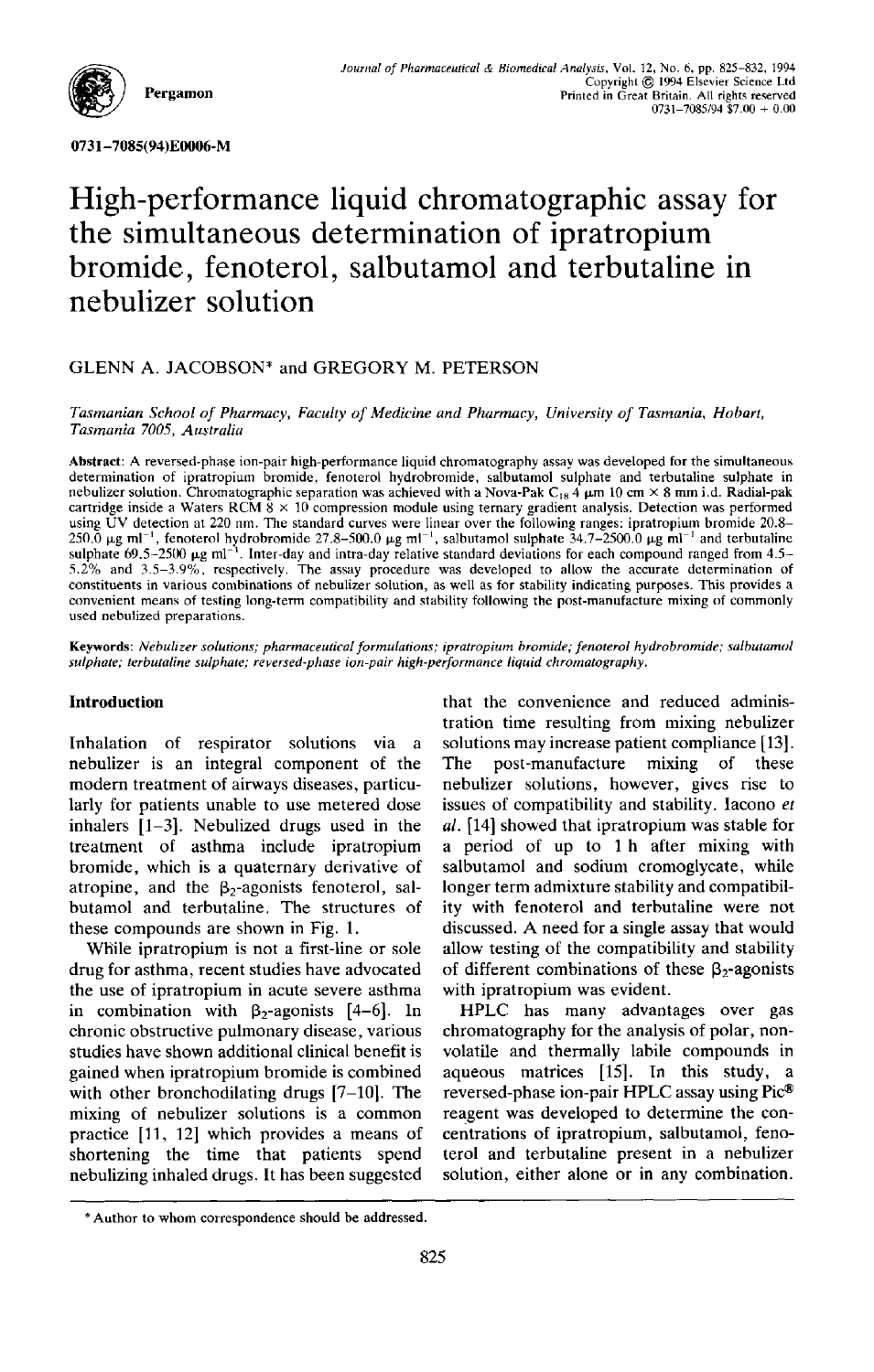

**0731-7085(94)E0006-M** 

# **High-performance liquid chromatographic assay for the simultaneous determination of ipratropium bromide, fenoterol, salbutamol and terbutaline in nebulizer solution**

# GLENN A. JACOBSON\* and GREGORY M. PETERSON

*Tasmanian School of Pharmacy, Faculty of Medicine and Pharmacy, University of Tasmania, Hobart, Tasmania 7005, Australia* 

**Abstract:** A reversed-phase ion-pair high-performance liquid chromatography assay was developed for the simultaneous determination of ipratropium bromide, fenoterol hydrobromide, salbutamol sulphate and terbutaline sulphate in nebulizer solution. Chromatographic separation was achieved with a Nova-Pak C<sub>18</sub> 4  $\mu$ m 10 cm × 8 mm i.d. Radial-pak cartridge inside a Waters RCM  $8 \times 10$  compression module using ternary gradient analysis. Detection was performed using UV detection at 220 nm. The standard curves were linear over the following ranges: ipratropium bromide 20.8- 250.0  $\mu$ g ml<sup>-1</sup>, fenoterol hydrobromide 27.8–500.0  $\mu$ g ml<sup>-1</sup>, salbutamol sulphate 34.7–2500.0  $\mu$ g ml<sup>-1</sup> and terbutaline sulphate 69.5–2500  $\mu$ g ml<sup>-1</sup>. Inter-day and intra-day relative standard deviations for each compound ranged from 4.5– 5.2% and 3.5-3.9%, respectively. The assay procedure was developed to allow the accurate determination of constituents in various combinations of nebulizer solution, as well as for stability indicating purposes. This provides a convenient means of testing long-term compatibility and stability following the post-manufacture mixing of commonly used nebulized preparations.

**Kcywords:** *Nebulizer solutions; pharmaceutical formulations; ipratropium bromide; fenoterol hydrobromide; salbutamol sulphate; terbutaline sulphate; reversed-phase ion-pair high-performance liquid chromatography.* 

#### **Introduction**

Inhalation of respirator solutions via a nebulizer is an integral component of the modern treatment of airways diseases, particularly for patients unable to use metered dose inhalers [1-3]. Nebulized drugs used in the treatment of asthma include ipratropium bromide, which is a quaternary derivative of atropine, and the  $\beta_2$ -agonists fenoterol, salbutamol and terbutaline. The structures of these compounds are shown in Fig. 1.

While ipratropium is not a first-line or sole drug for asthma, recent studies have advocated the use of ipratropium in acute severe asthma in combination with  $\beta_2$ -agonists [4-6]. In chronic obstructive pulmonary disease, various studies have shown additional clinical benefit is gained when ipratropium bromide is combined with other bronchodilating drugs [7–10]. The mixing of nebulizer solutions is a common practice [11, 12] which provides a means of shortening the time that patients spend nebulizing inhaled drugs. It has been suggested

that the convenience and reduced administration time resulting from mixing nebulizer solutions may increase patient compliance [13]. The post-manufacture mixing of these nebulizer solutions, however, gives rise to issues of compatibility and stability. Iacono *et al.* [14] showed that ipratropium was stable for a period of up to 1 h after mixing with salbutamol and sodium cromoglycate, while longer term admixture stability and compatibility with fenoterol and terbutaline were not discussed. A need for a single assay that would allow testing of the compatibility and stability of different combinations of these  $\beta_2$ -agonists with ipratropium was evident.

HPLC has many advantages over gas chromatography for the analysis of polar, nonvolatile and thermally labile compounds in aqueous matrices [15]. In this study, a reversed-phase ion-pair HPLC assay using Pic<sup>®</sup> reagent was developed to determine the concentrations of ipratropium, salbutamol, fenoterol and terbutaline present in a nebulizer solution, either alone or in any combination.

<sup>\*</sup> Author to whom correspondence should be addressed.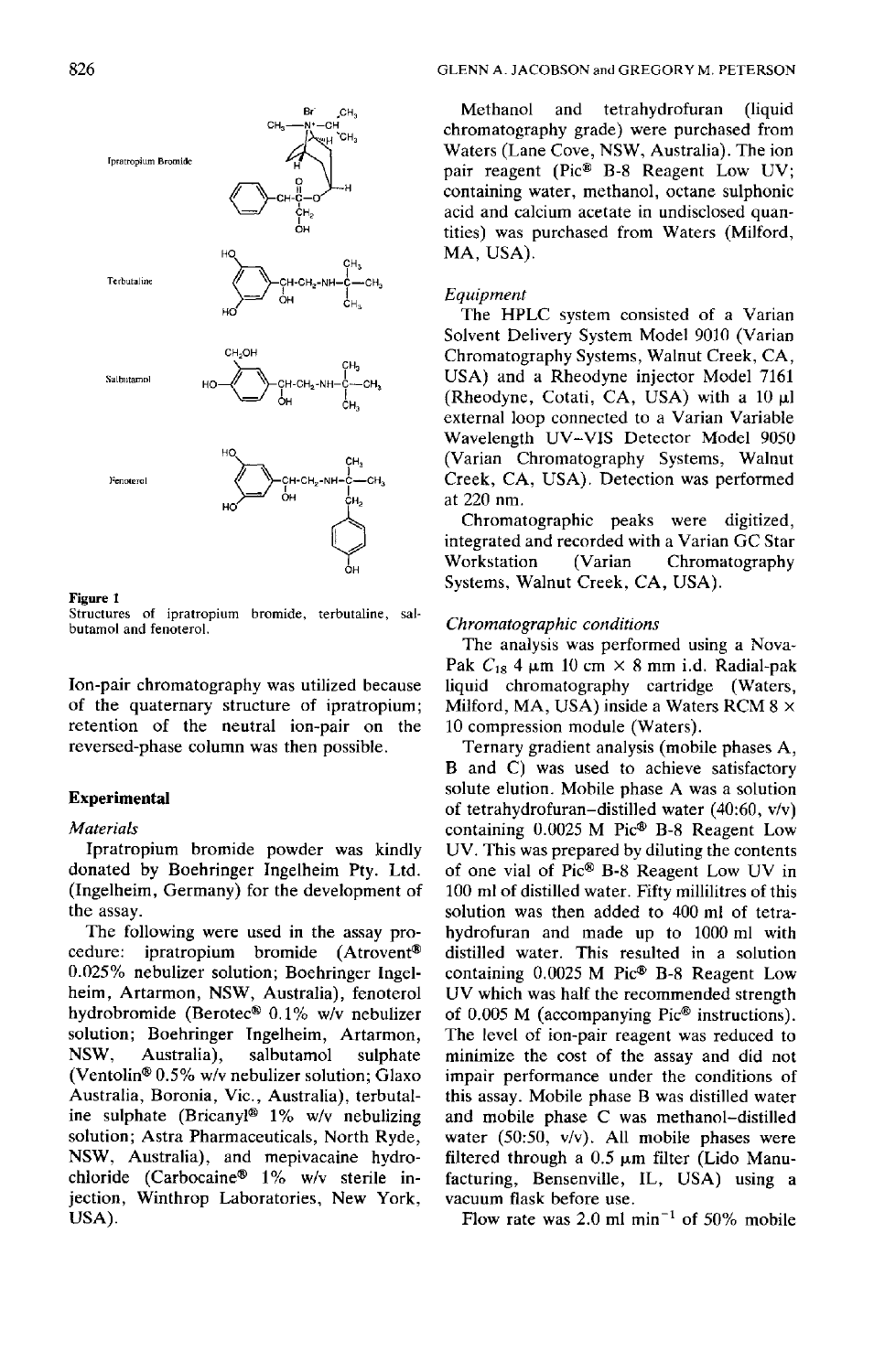

**Figure 1** 

Structures of ipratropium bromide, terbutaline, salbutamol and fenoterol.

Ion-pair chromatography was utilized because of the quaternary structure of ipratropium; retention of the neutral ion-pair on the reversed-phase column was then possible.

# **Experimental**

# *Materials*

Ipratropium bromide powder was kindly donated by Boehringer Ingelheim Pty. Ltd. (Ingelheim, Germany) for the development of the assay.

The following were used in the assay procedure: ipratropium bromide (Atrovent<sup>®</sup> 0.025% nebulizer solution; Boehringer Ingelheim, Artarmon, NSW, Australia), fenoterol hydrobromide (Berotec®  $0.1\%$  w/v nebulizer solution; Boehringer Ingelheim, Artarmon, NSW, Australia), salbutamol sulphate (Ventolin<sup>®</sup>  $0.5\%$  w/v nebulizer solution; Glaxo Australia, Boronia, Vie., Australia), terbutaline sulphate (Bricanyl<sup>®</sup> 1% w/v nebulizing solution; Astra Pharmaceuticals, North Ryde, NSW, Australia), and mepivacaine hydrochloride (Carbocaine®  $1\%$  w/v sterile injection, Winthrop Laboratories, New York, USA).

Methanol and tetrahydrofuran (liquid chromatography grade) were purchased from Waters (Lane Cove, NSW, Australia). The ion pair reagent (Pic® B-8 Reagent Low UV; containing water, methanol, octane sulphonic acid and calcium acetate in undisclosed quantities) was purchased from Waters (Milford, MA, USA).

## *Equipment*

The HPLC system consisted of a Varian Solvent Delivery System Model 9010 (Varian Chromatography Systems, Walnut Creek, CA, USA) and a Rheodyne injector Model 7161 (Rheodyne, Cotati, CA, USA) with a  $10 \mu I$ external loop connected to a Varian Variable Wavelength UV-VIS Detector Model 9050 (Varian Chromatography Systems, Walnut Creek, CA, USA). Detection was performed at 220 nm.

Chromatographic peaks were digitized, integrated and recorded with a Varian GC Star Workstation (Varian Chromatography Systems, Walnut Creek, CA, USA).

## *Chromatographic conditions*

The analysis was performed using a Nova-Pak  $C_{18}$  4  $\mu$ m 10 cm  $\times$  8 mm i.d. Radial-pak liquid chromatography cartridge (Waters, Milford, MA, USA) inside a Waters RCM  $8 \times$ 10 compression module (Waters).

Ternary gradient analysis (mobile phases A, B and C) was used to achieve satisfactory solute elution. Mobile phase A was a solution of tetrahydrofuran-distilled water (40:60, v/v) containing  $0.0025$  M Pic® B-8 Reagent Low UV. This was prepared by diluting the contents of one vial of Pic<sup>®</sup> B-8 Reagent Low UV in 100 ml of distilled water. Fifty millilitres of this solution was then added to 400 ml of tetrahydrofuran and made up to 1000 ml with distilled water. This resulted in a solution containing  $0.0025$  M Pic® B-8 Reagent Low UV which was half the recommended strength of 0.005 M (accompanying Pic $\mathscr{E}$  instructions). The level of ion-pair reagent was reduced to minimize the cost of the assay and did not impair performance under the conditions of this assay. Mobile phase B was distilled water and mobile phase C was methanol-distilled water (50:50, v/v). All mobile phases were filtered through a  $0.5 \mu m$  filter (Lido Manufacturing, Bensenville, IL, USA) using a vacuum flask before use.

Flow rate was 2.0 ml min<sup>-1</sup> of 50% mobile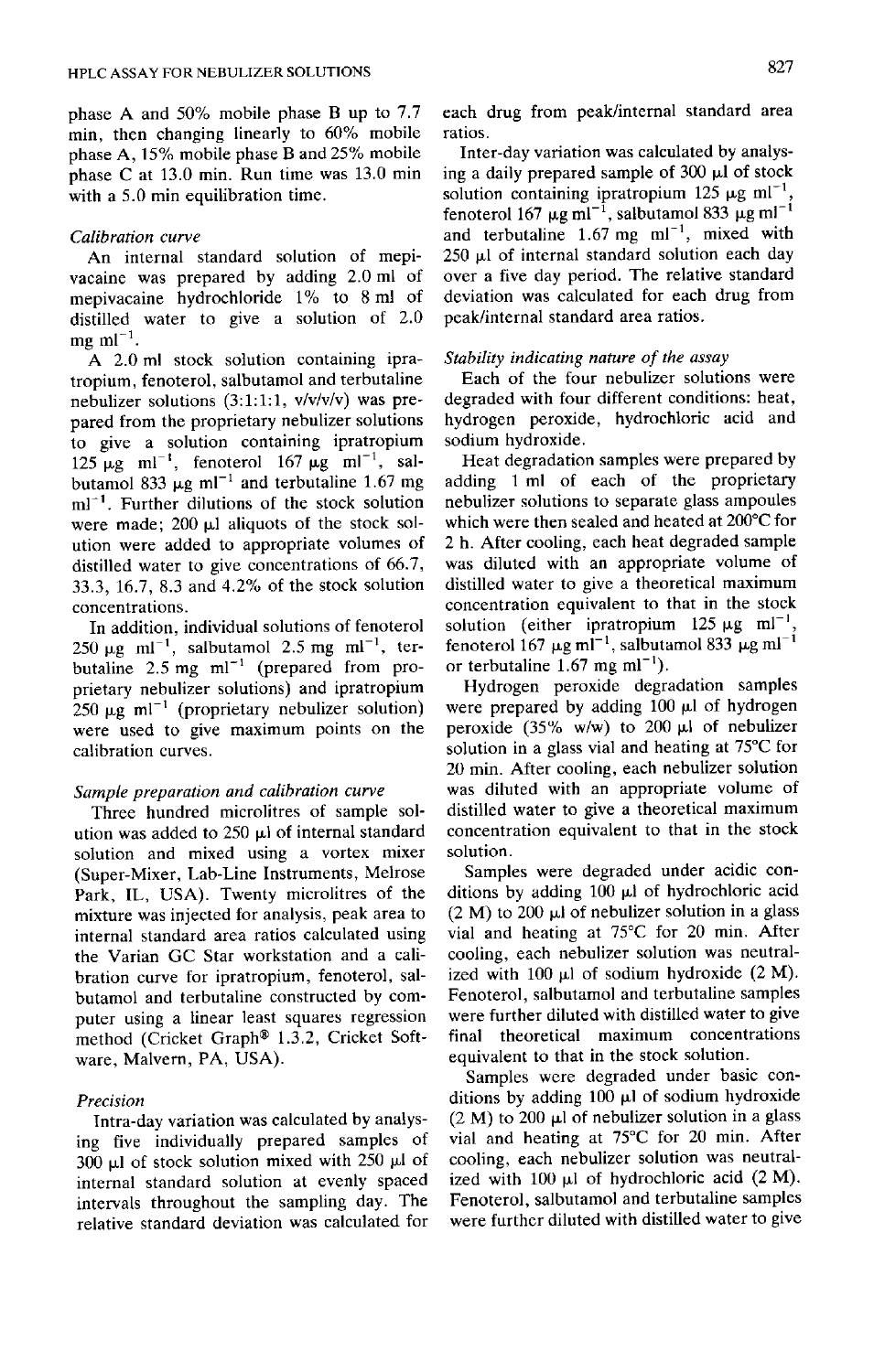phase A and 50% mobile phase B up to 7.7 min, then changing linearly to 60% mobile phase A, 15% mobile phase B and 25% mobile phase C at 13.0 min. Run time was 13.0 min with a 5.0 min equilibration time.

#### *Calibration curve*

An internal standard solution of mepivacaine was prepared by adding 2.0 ml of mepivacaine hydrochloride 1% to 8 ml of distilled water to give a solution of 2.0  $me$  ml<sup>-1</sup>.

A 2.0 ml stock solution containing ipratropium, fenoterol, salbutamol and terbutaline nebulizer solutions (3:1:1:1, v/v/v/v) was prepared from the proprietary nebulizer solutions to give a solution containing ipratropium  $125 \mu g$  ml<sup>-1</sup>, fenoterol  $167 \mu g$  ml<sup>-1</sup>, salbutamol 833  $\mu$ g ml<sup>-1</sup> and terbutaline 1.67 mg m<sup>1-1</sup>. Further dilutions of the stock solution were made;  $200 \mu l$  aliquots of the stock solution were added to appropriate volumes of distilled water to give concentrations of 66.7, 33.3, 16.7, 8.3 and 4.2% of the stock solution concentrations.

In addition, individual solutions of fenoterol 250  $\mu$ g ml<sup>-1</sup>, salbutamol 2.5 mg ml<sup>-1</sup>, terbutaline  $2.5 \text{ mg} \text{ ml}^{-1}$  (prepared from proprietary nebulizer solutions) and ipratropium  $250 \mu g$  ml<sup>-1</sup> (proprietary nebulizer solution) were used to give maximum points on the calibration curves.

#### *Sample preparation and calibration curve*

Three hundred microlitres of sample solution was added to 250  $\mu$ l of internal standard solution and mixed using a vortex mixer (Super-Mixer, Lab-Line Instruments, Melrose Park, IL, USA). Twenty microlitres of the mixture was injected for analysis, peak area to internal standard area ratios calculated using the Varian GC Star workstation and a calibration curve for ipratropium, fenoterol, salbutamol and terbutaline constructed by computer using a linear least squares regression method (Cricket Graph® 1.3.2, Cricket Software, Malvern, PA, USA).

#### *Precision*

Intra-day variation was calculated by analysing five individually prepared samples of  $300 \mu l$  of stock solution mixed with 250  $\mu l$  of internal standard solution at evenly spaced intervals throughout the sampling day. The relative standard deviation was calculated for each drug from peak/internal standard area ratios.

Inter-day variation was calculated by analysing a daily prepared sample of  $300 \mu l$  of stock solution containing ipratropium 125  $\mu$ g ml<sup>-1</sup>. fenoterol 167  $\mu$ g ml<sup>-1</sup>, salbutamol 833  $\mu$ g ml<sup>-1</sup> and terbutaline  $1.67$  mg ml<sup>-1</sup>, mixed with  $250$   $\mu$ l of internal standard solution each day over a five day period. The relative standard deviation was calculated for each drug from peak/internal standard area ratios.

#### *Stability indicating nature of the assay*

Each of the four nebulizer solutions were degraded with four different conditions: heat, hydrogen peroxide, hydrochloric acid and sodium hydroxide.

Heat degradation samples were prepared by adding 1 ml of each of the proprietary nebulizer solutions to separate glass ampoules which were then sealed and heated at 200°C for 2 h. After cooling, each heat degraded sample was diluted with an appropriate volume of distilled water to give a theoretical maximum concentration equivalent to that in the stock solution (either ipratropium 125  $\mu$ g ml<sup>-1</sup>, fenoterol 167  $\mu$ g ml<sup>-1</sup>, salbutamol 833  $\mu$ g ml<sup>-1</sup> or terbutaline 1.67 mg ml<sup>-1</sup>).

Hydrogen peroxide degradation samples were prepared by adding  $100 \mu l$  of hydrogen peroxide (35% w/w) to 200  $\mu$ l of nebulizer solution in a glass vial and heating at 75°C for 20 min. After cooling, each nebulizer solution was diluted with an appropriate volume of distilled water to give a theoretical maximum concentration equivalent to that in the stock solution.

Samples were degraded under acidic conditions by adding  $100 \mu l$  of hydrochloric acid  $(2 M)$  to 200  $\mu$ l of nebulizer solution in a glass vial and heating at 75°C for 20 min. After cooling, each nebulizer solution was neutralized with 100  $\mu$ l of sodium hydroxide  $(2 M)$ . Fenoterol, salbutamol and terbutaline samples were further diluted with distilled water to give final theoretical maximum concentrations equivalent to that in the stock solution.

Samples were degraded under basic conditions by adding  $100 \mu l$  of sodium hydroxide  $(2 M)$  to 200  $\mu$ l of nebulizer solution in a glass vial and heating at 75°C for 20 min. After cooling, each nebulizer solution was neutralized with  $100 \mu l$  of hydrochloric acid (2 M). Fenoterol, salbutamol and terbutaline samples were further diluted with distilled water to give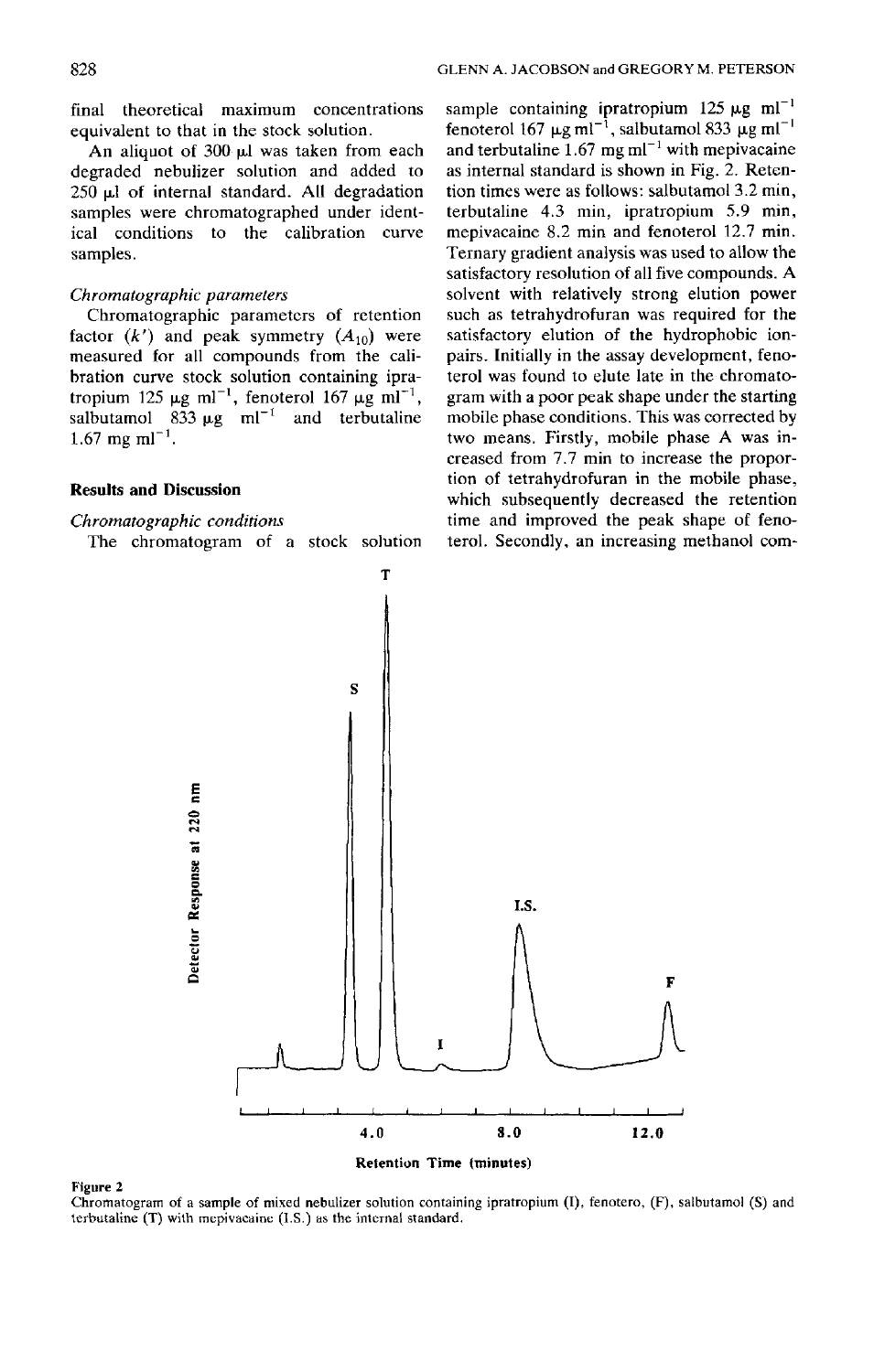final theoretical maximum concentrations equivalent to that in the stock solution.

An aliquot of  $300 \mu l$  was taken from each degraded nebulizer solution and added to  $250 \mu l$  of internal standard. All degradation samples were chromatographed under identical conditions to the calibration curve samples.

## *Chromatographic parameters*

Chromatographic parameters of retention factor  $(k')$  and peak symmetry  $(A_{10})$  were measured for all compounds from the calibration curve stock solution containing ipratropium 125  $\mu$ g ml<sup>-1</sup>, fenoterol 167  $\mu$ g ml<sup>-1</sup>, salbutamol 833  $\mu$ g ml<sup>-1</sup> and terbutaline  $1.67$  mg ml<sup>-1</sup>.

#### **Results and Discussion**

#### *Chromatographic conditions*

The chromatogram of a stock solution

sample containing ipratropium  $125 \mu g$  ml<sup>-1</sup> fenoterol 167  $\mu$ g ml<sup>-1</sup>, salbutamol 833  $\mu$ g ml<sup>-1</sup> and terbutaline  $1.67 \text{ mg} \text{ ml}^{-1}$  with mepivacaine as internal standard is shown in Fig. 2. Retention times were as follows: salbutamol 3.2 min, terbutaline 4.3 min, ipratropium 5.9 min, mepivacaine 8.2 min and fenoterol 12.7 min. Ternary gradient analysis was used to allow the satisfactory resolution of all five compounds. A solvent with relatively strong elution power such as tetrahydrofuran was required for the satisfactory elution of the hydrophobic ionpairs. Initially in the assay development, fenoterol was found to elute late in the chromatogram with a poor peak shape under the starting mobile phase conditions. This was corrected by two means. Firstly, mobile phase A was increased from 7.7 min to increase the proportion of tetrahydrofuran in the mobile phase, which subsequently decreased the retention time and improved the peak shape of fenoterol. Secondly, an increasing methanol com-



**Figure** 2

Chromatogram of a sample of mixed nebulizer solution containing ipratropium (I), fenotero, (F), salbutamol (S) and terbutaline (T) with mepivacaine (I.S.) as the internal standard.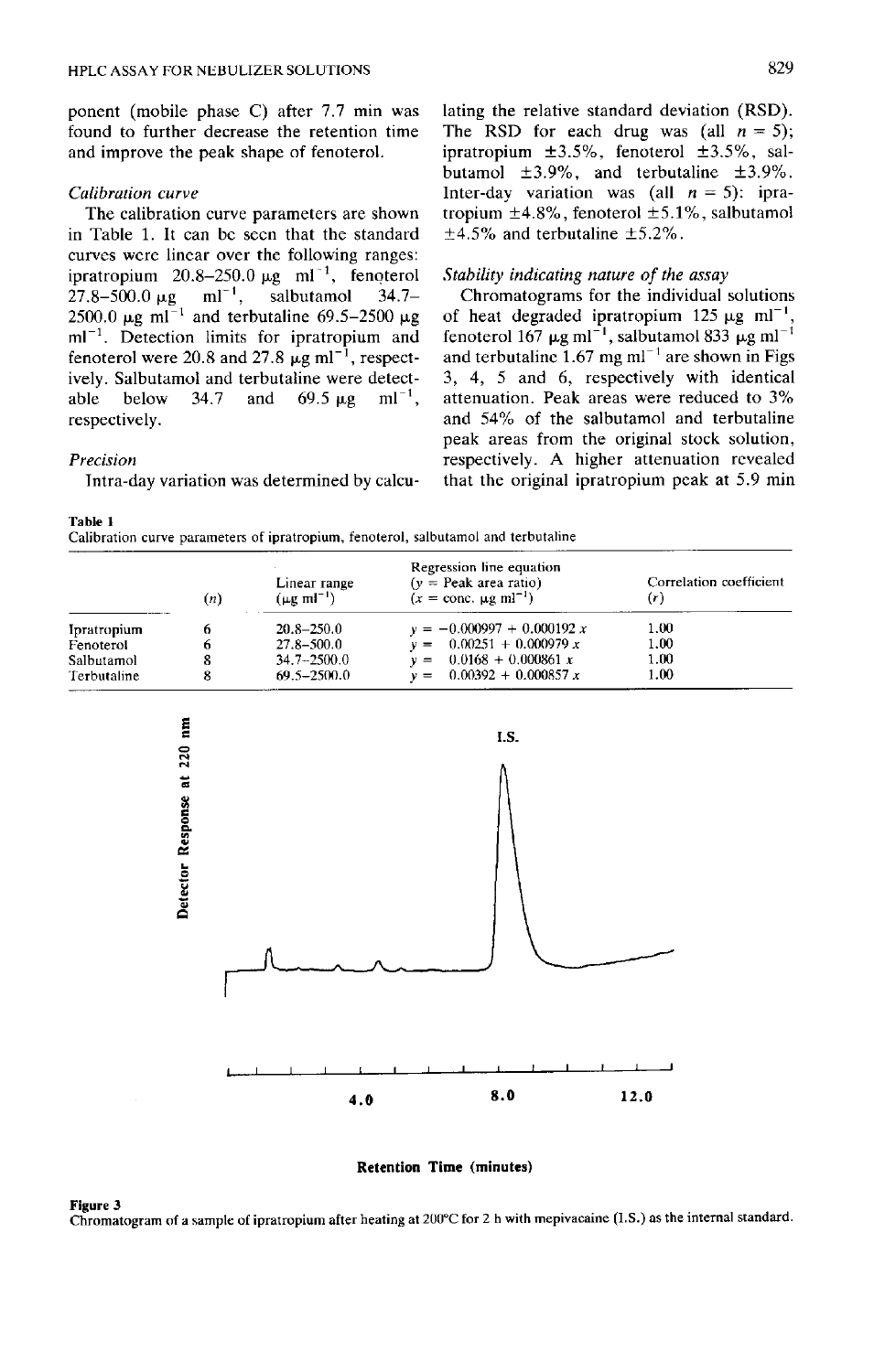ponent (mobile phase C) after 7.7 min was found to further decrease the retention time and improve the peak shape of fenoterol.

## *Calibration curve*

The calibration curve parameters are shown in Table 1. It can be seen that the standard curves were linear over the following ranges: ipratropium 20.8–250.0  $\mu$ g ml<sup>-1</sup>, fenoterol<br>27.8–500.0  $\mu$ g ml<sup>-1</sup>, salbutamol 34.7–  $27.8 - 500.0 \mu g$  ml<sup>-1</sup>, salbutamol 34.7-2500.0  $\mu$ g ml<sup>-1</sup> and terbutaline 69.5-2500  $\mu$ g m<sup>1-1</sup>. Detection limits for ipratropium and fenoterol were 20.8 and 27.8  $\mu$ g ml<sup>-1</sup>, respectively. Salbutamol and terbutaline were detectable below 34.7 and 69.5  $\mu$ g ml<sup>-1</sup>, respectively.

#### *Precision*

Intra-day variation was determined by calcu-

lating the relative standard deviation (RSD). The RSD for each drug was (all  $n = 5$ ); ipratropium  $\pm 3.5\%$ , fenoterol  $\pm 3.5\%$ , salbutamol  $\pm 3.9\%$ , and terbutaline  $\pm 3.9\%$ . Inter-day variation was (all  $n = 5$ ): ipratropium  $\pm 4.8\%$ , fenoterol  $\pm 5.1\%$ , salbutamol  $\pm$ 4.5% and terbutaline  $\pm$ 5.2%.

## *Stability indicating nature of the assay*

Chromatograms for the individual solutions of heat degraded ipratropium 125  $\mu$ g ml<sup>-1</sup>. fenoterol 167  $\mu$ g ml<sup>-1</sup>, salbutamol 833  $\mu$ g ml<sup>-1</sup> and terbutaline  $1.67$  mg ml<sup>-1</sup> are shown in Figs 3, 4, 5 and 6, respectively with identical attenuation. Peak areas were reduced to 3% and 54% of the salbutamol and terbutaline peak areas from the original stock solution, respectively. A higher attenuation revealed that the original ipratropium peak at 5.9 min

#### **Table 1**

Calibration curve parameters of ipratropium, fenoterol, salbutamol and terbutaline

|             | (n) | Linear range<br>$(\mu$ g ml <sup>-1</sup> ) | Regression line equation<br>$(v = Peak area ratio)$<br>$(x = \text{conc. } \mu g \text{ ml}^{-1})$ | Correlation coefficient<br>(r) |
|-------------|-----|---------------------------------------------|----------------------------------------------------------------------------------------------------|--------------------------------|
| Ipratropium |     | $20.8 - 250.0$                              | $y = -0.000997 + 0.000192 x$                                                                       | 1.00                           |
| Fenoterol   |     | $27.8 - 500.0$                              | $y = 0.00251 + 0.000979 x$                                                                         | 1.00                           |
| Salbutamol  |     | 34.7–2500.0                                 | $y = 0.0168 + 0.000861 x$                                                                          | 1.00                           |
| Terbutaline | 8   | $69.5 - 2500.0$                             | $y = 0.00392 + 0.000857 x$                                                                         | 1.00                           |



**Retention Time (minutes)** 

**Figure 3**  Chromatogram of a sample of ipratropium after heating at 200°C for 2 h with mepivacaine (I.S.) as the internal standard.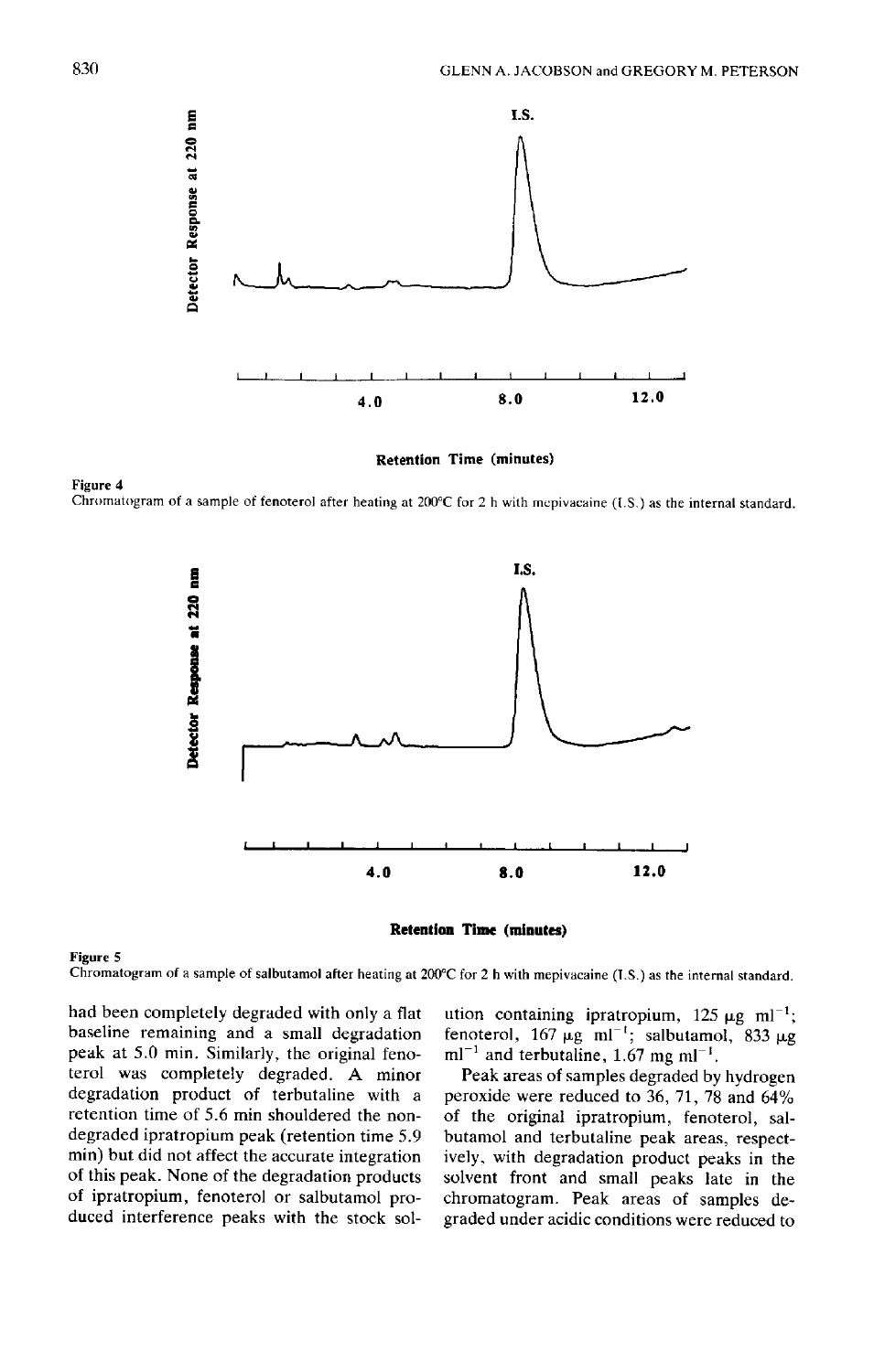

**Retention Time (minutes)** 

Chromatogram of a sample of fenoterol after heating at  $200^{\circ}$ C for 2 h with mepivacaine (I.S.) as the internal standard.





Figure 5 Chromatogram of a sample of salbutamol after heating at 200°C for 2 h with mepivacaine (I.S.) as the internal standard,

had been completely degraded with only a flat baseline remaining and a small degradation peak at 5.0 min. Similarly, the original fenoterol was completely degraded. A minor degradation product of terbutaline with a retention time of 5.6 min shouldered the nondegraded ipratropium peak (retention time 5.9 min) but did not affect the accurate integration of this peak. None of the degradation products of ipratropium, fenoterol or salbutamol produced interference peaks with the stock solution containing ipratropium,  $125 \mu$ g ml<sup>-1</sup>; fenoterol,  $167 \mu g$  ml<sup>-1</sup>; salbutamol, 833  $\mu g$  $ml^{-1}$  and terbutaline, 1.67 mg ml<sup>-1</sup>.

Peak areas of samples degraded by hydrogen peroxide were reduced to 36, 71, 78 and 64% of the original ipratropium, fenoterol, salbutamol and terbutaline peak areas, respectively, with degradation product peaks in the solvent front and small peaks late in the chromatogram. Peak areas of samples degraded under acidic conditions were reduced to

**Figure 4**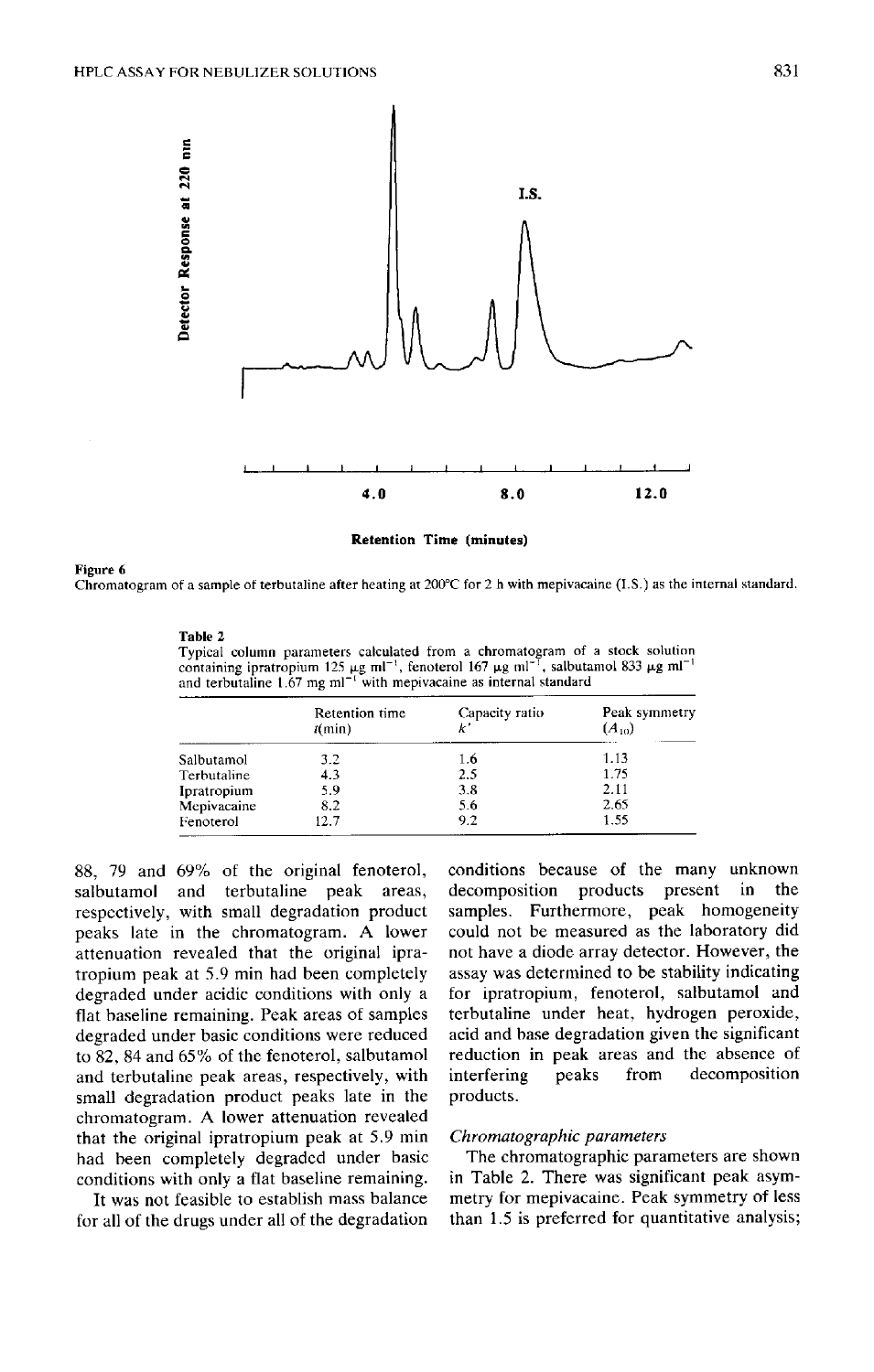

**Retention Time (minutes)** 

**Figure 6** 

Chromatogram of a sample of terbutaline after heating at 200°C for 2 h with mepivacaine (I.S.) as the internal standard.

#### Table 2

Typical column parameters calculated from a chromatogram of a stock solution containing ipratropium 125  $\mu$ g ml<sup>-1</sup>, fenoterol 167  $\mu$ g ml<sup>-1</sup>, salbutamol 833  $\mu$ g ml<sup>-1</sup> and terbutaline 1.67 mg ml<sup>-1</sup> with mepivacaine as internal standard

|             | Retention time<br>$t$ (min) | Capacity ratio | Peak symmetry<br>$(A_{10})$ |
|-------------|-----------------------------|----------------|-----------------------------|
| Salbutamol  | 3.2                         | 1.6            | 1.13                        |
| Terbutaline | 4.3                         | 2.5            | 1.75                        |
| Ipratropium | 5.9                         | 3.8            | 2.11                        |
| Mepivacaine | 8.2                         | 5.6            | 2.65                        |
| Fenoterol   | 12.7                        | 9.2            | 1.55                        |

88, 79 and 69% of the original fenoterol, salbutamol and terbutaline peak areas, respectively, with small degradation product peaks late in the chromatogram. A lower attenuation revealed that the original ipratropium peak at 5.9 min had been completely degraded under acidic conditions with only a flat baseline remaining. Peak areas of samples degraded under basic conditions were reduced to 82, 84 and 65% of the fenoterol, salbutamol and terbutaline peak areas, respectively, with small degradation product peaks late in the chromatogram. A lower attenuation revealed that the original ipratropium peak at 5.9 min had been completely degraded under basic conditions with only a flat baseline remaining.

It was not feasible to establish mass balance for all of the drugs under all of the degradation conditions because of the many unknown decomposition products present in the samples. Furthermore, peak homogeneity could not be measured as the laboratory did not have a diode array detector. However, the assay was determined to be stability indicating for ipratropium, fenoterol, salbutamol and terbutaline under heat, hydrogen peroxide, acid and base degradation given the significant reduction in peak areas and the absence of interfering peaks from decomposition products.

### *Chromatographic parameters*

The chromatographic parameters are shown in Table 2. There was significant peak asymmetry for mepivacaine. Peak symmetry of less than 1.5 is preferred for quantitative analysis;